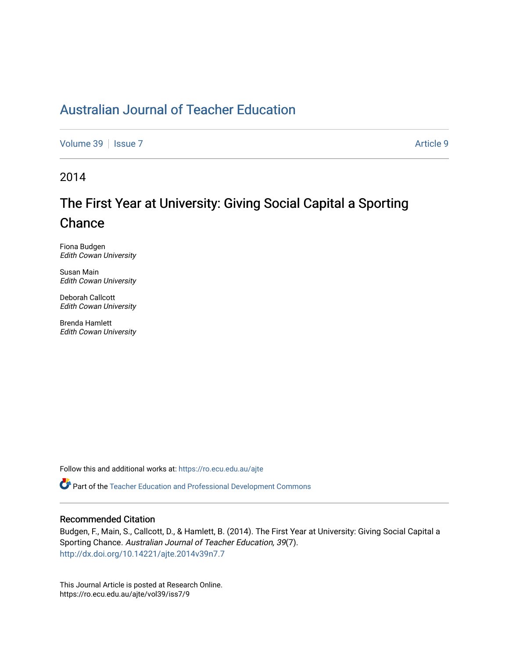## [Australian Journal of Teacher Education](https://ro.ecu.edu.au/ajte)

[Volume 39](https://ro.ecu.edu.au/ajte/vol39) | [Issue 7](https://ro.ecu.edu.au/ajte/vol39/iss7) Article 9

2014

# The First Year at University: Giving Social Capital a Sporting **Chance**

Fiona Budgen Edith Cowan University

Susan Main Edith Cowan University

Deborah Callcott Edith Cowan University

Brenda Hamlett Edith Cowan University

Follow this and additional works at: [https://ro.ecu.edu.au/ajte](https://ro.ecu.edu.au/ajte?utm_source=ro.ecu.edu.au%2Fajte%2Fvol39%2Fiss7%2F9&utm_medium=PDF&utm_campaign=PDFCoverPages) 

Part of the [Teacher Education and Professional Development Commons](http://network.bepress.com/hgg/discipline/803?utm_source=ro.ecu.edu.au%2Fajte%2Fvol39%2Fiss7%2F9&utm_medium=PDF&utm_campaign=PDFCoverPages)

#### Recommended Citation

Budgen, F., Main, S., Callcott, D., & Hamlett, B. (2014). The First Year at University: Giving Social Capital a Sporting Chance. Australian Journal of Teacher Education, 39(7). <http://dx.doi.org/10.14221/ajte.2014v39n7.7>

This Journal Article is posted at Research Online. https://ro.ecu.edu.au/ajte/vol39/iss7/9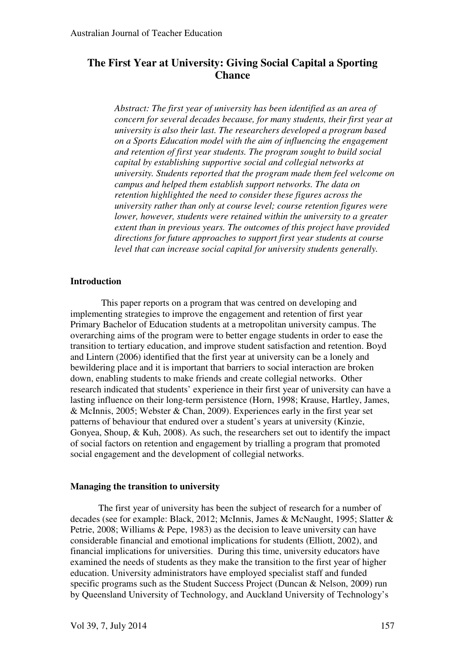### **The First Year at University: Giving Social Capital a Sporting Chance**

*Abstract: The first year of university has been identified as an area of concern for several decades because, for many students, their first year at university is also their last. The researchers developed a program based on a Sports Education model with the aim of influencing the engagement and retention of first year students. The program sought to build social capital by establishing supportive social and collegial networks at university. Students reported that the program made them feel welcome on campus and helped them establish support networks. The data on retention highlighted the need to consider these figures across the university rather than only at course level; course retention figures were lower, however, students were retained within the university to a greater extent than in previous years. The outcomes of this project have provided directions for future approaches to support first year students at course level that can increase social capital for university students generally.* 

#### **Introduction**

 This paper reports on a program that was centred on developing and implementing strategies to improve the engagement and retention of first year Primary Bachelor of Education students at a metropolitan university campus. The overarching aims of the program were to better engage students in order to ease the transition to tertiary education, and improve student satisfaction and retention. Boyd and Lintern (2006) identified that the first year at university can be a lonely and bewildering place and it is important that barriers to social interaction are broken down, enabling students to make friends and create collegial networks. Other research indicated that students' experience in their first year of university can have a lasting influence on their long-term persistence (Horn, 1998; Krause, Hartley, James, & McInnis, 2005; Webster & Chan, 2009). Experiences early in the first year set patterns of behaviour that endured over a student's years at university (Kinzie, Gonyea, Shoup, & Kuh, 2008). As such, the researchers set out to identify the impact of social factors on retention and engagement by trialling a program that promoted social engagement and the development of collegial networks.

#### **Managing the transition to university**

The first year of university has been the subject of research for a number of decades (see for example: Black, 2012; McInnis, James & McNaught, 1995; Slatter & Petrie, 2008; Williams & Pepe, 1983) as the decision to leave university can have considerable financial and emotional implications for students (Elliott, 2002), and financial implications for universities. During this time, university educators have examined the needs of students as they make the transition to the first year of higher education. University administrators have employed specialist staff and funded specific programs such as the Student Success Project (Duncan & Nelson, 2009) run by Queensland University of Technology, and Auckland University of Technology's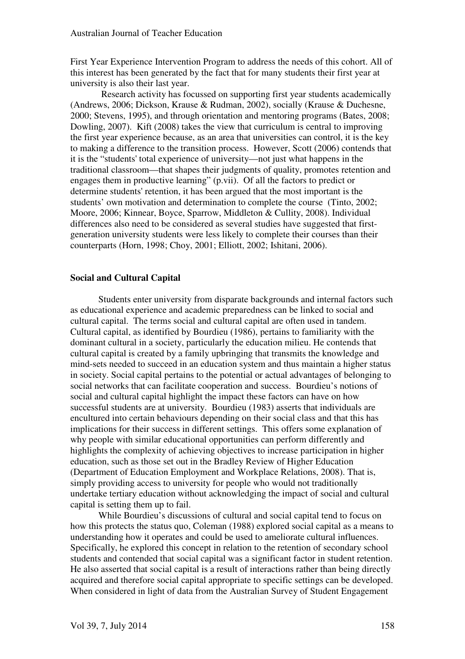First Year Experience Intervention Program to address the needs of this cohort. All of this interest has been generated by the fact that for many students their first year at university is also their last year.

 Research activity has focussed on supporting first year students academically (Andrews, 2006; Dickson, Krause & Rudman, 2002), socially (Krause & Duchesne, 2000; Stevens, 1995), and through orientation and mentoring programs (Bates, 2008; Dowling, 2007). Kift (2008) takes the view that curriculum is central to improving the first year experience because, as an area that universities can control, it is the key to making a difference to the transition process. However, Scott (2006) contends that it is the "students' total experience of university—not just what happens in the traditional classroom—that shapes their judgments of quality, promotes retention and engages them in productive learning" (p.vii). Of all the factors to predict or determine students' retention, it has been argued that the most important is the students' own motivation and determination to complete the course (Tinto, 2002; Moore, 2006; Kinnear, Boyce, Sparrow, Middleton & Cullity, 2008). Individual differences also need to be considered as several studies have suggested that firstgeneration university students were less likely to complete their courses than their counterparts (Horn, 1998; Choy, 2001; Elliott, 2002; Ishitani, 2006).

#### **Social and Cultural Capital**

 Students enter university from disparate backgrounds and internal factors such as educational experience and academic preparedness can be linked to social and cultural capital. The terms social and cultural capital are often used in tandem. Cultural capital, as identified by Bourdieu (1986), pertains to familiarity with the dominant cultural in a society, particularly the education milieu. He contends that cultural capital is created by a family upbringing that transmits the knowledge and mind-sets needed to succeed in an education system and thus maintain a higher status in society. Social capital pertains to the potential or actual advantages of belonging to social networks that can facilitate cooperation and success. Bourdieu's notions of social and cultural capital highlight the impact these factors can have on how successful students are at university. Bourdieu (1983) asserts that individuals are encultured into certain behaviours depending on their social class and that this has implications for their success in different settings. This offers some explanation of why people with similar educational opportunities can perform differently and highlights the complexity of achieving objectives to increase participation in higher education, such as those set out in the Bradley Review of Higher Education (Department of Education Employment and Workplace Relations, 2008). That is, simply providing access to university for people who would not traditionally undertake tertiary education without acknowledging the impact of social and cultural capital is setting them up to fail.

 While Bourdieu's discussions of cultural and social capital tend to focus on how this protects the status quo, Coleman (1988) explored social capital as a means to understanding how it operates and could be used to ameliorate cultural influences. Specifically, he explored this concept in relation to the retention of secondary school students and contended that social capital was a significant factor in student retention. He also asserted that social capital is a result of interactions rather than being directly acquired and therefore social capital appropriate to specific settings can be developed. When considered in light of data from the Australian Survey of Student Engagement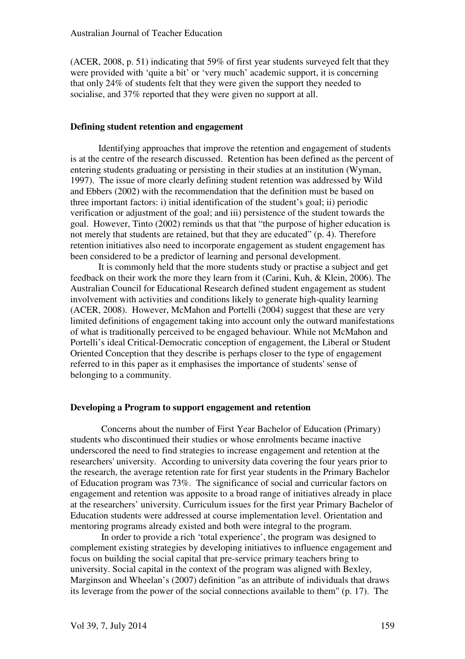(ACER, 2008, p. 51) indicating that 59% of first year students surveyed felt that they were provided with 'quite a bit' or 'very much' academic support, it is concerning that only 24% of students felt that they were given the support they needed to socialise, and 37% reported that they were given no support at all.

#### **Defining student retention and engagement**

Identifying approaches that improve the retention and engagement of students is at the centre of the research discussed. Retention has been defined as the percent of entering students graduating or persisting in their studies at an institution (Wyman, 1997). The issue of more clearly defining student retention was addressed by Wild and Ebbers (2002) with the recommendation that the definition must be based on three important factors: i) initial identification of the student's goal; ii) periodic verification or adjustment of the goal; and iii) persistence of the student towards the goal. However, Tinto (2002) reminds us that that "the purpose of higher education is not merely that students are retained, but that they are educated" (p. 4). Therefore retention initiatives also need to incorporate engagement as student engagement has been considered to be a predictor of learning and personal development.

 It is commonly held that the more students study or practise a subject and get feedback on their work the more they learn from it (Carini, Kuh, & Klein, 2006). The Australian Council for Educational Research defined student engagement as student involvement with activities and conditions likely to generate high-quality learning (ACER, 2008). However, McMahon and Portelli (2004) suggest that these are very limited definitions of engagement taking into account only the outward manifestations of what is traditionally perceived to be engaged behaviour. While not McMahon and Portelli's ideal Critical-Democratic conception of engagement, the Liberal or Student Oriented Conception that they describe is perhaps closer to the type of engagement referred to in this paper as it emphasises the importance of students' sense of belonging to a community.

#### **Developing a Program to support engagement and retention**

 Concerns about the number of First Year Bachelor of Education (Primary) students who discontinued their studies or whose enrolments became inactive underscored the need to find strategies to increase engagement and retention at the researchers' university. According to university data covering the four years prior to the research, the average retention rate for first year students in the Primary Bachelor of Education program was 73%. The significance of social and curricular factors on engagement and retention was apposite to a broad range of initiatives already in place at the researchers' university. Curriculum issues for the first year Primary Bachelor of Education students were addressed at course implementation level. Orientation and mentoring programs already existed and both were integral to the program.

 In order to provide a rich 'total experience', the program was designed to complement existing strategies by developing initiatives to influence engagement and focus on building the social capital that pre-service primary teachers bring to university. Social capital in the context of the program was aligned with Bexley, Marginson and Wheelan's (2007) definition "as an attribute of individuals that draws its leverage from the power of the social connections available to them" (p. 17). The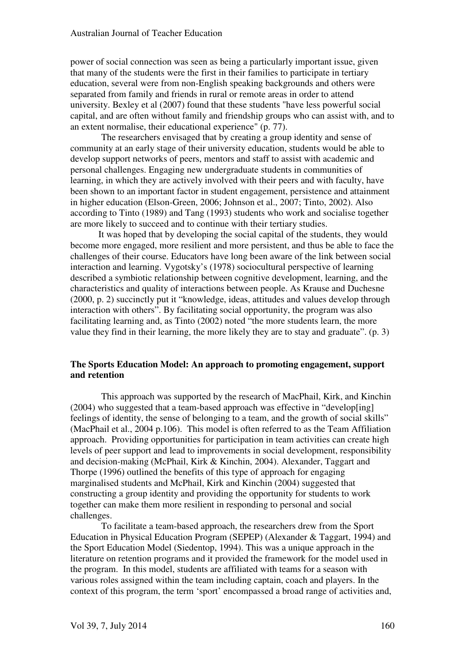power of social connection was seen as being a particularly important issue, given that many of the students were the first in their families to participate in tertiary education, several were from non-English speaking backgrounds and others were separated from family and friends in rural or remote areas in order to attend university. Bexley et al (2007) found that these students "have less powerful social capital, and are often without family and friendship groups who can assist with, and to an extent normalise, their educational experience" (p. 77).

 The researchers envisaged that by creating a group identity and sense of community at an early stage of their university education, students would be able to develop support networks of peers, mentors and staff to assist with academic and personal challenges. Engaging new undergraduate students in communities of learning, in which they are actively involved with their peers and with faculty, have been shown to an important factor in student engagement, persistence and attainment in higher education (Elson-Green, 2006; Johnson et al., 2007; Tinto, 2002). Also according to Tinto (1989) and Tang (1993) students who work and socialise together are more likely to succeed and to continue with their tertiary studies.

 It was hoped that by developing the social capital of the students, they would become more engaged, more resilient and more persistent, and thus be able to face the challenges of their course. Educators have long been aware of the link between social interaction and learning. Vygotsky's (1978) sociocultural perspective of learning described a symbiotic relationship between cognitive development, learning, and the characteristics and quality of interactions between people. As Krause and Duchesne (2000, p. 2) succinctly put it "knowledge, ideas, attitudes and values develop through interaction with others". By facilitating social opportunity, the program was also facilitating learning and, as Tinto (2002) noted "the more students learn, the more value they find in their learning, the more likely they are to stay and graduate". (p. 3)

#### **The Sports Education Model: An approach to promoting engagement, support and retention**

 This approach was supported by the research of MacPhail, Kirk, and Kinchin (2004) who suggested that a team-based approach was effective in "develop[ing] feelings of identity, the sense of belonging to a team, and the growth of social skills" (MacPhail et al., 2004 p.106). This model is often referred to as the Team Affiliation approach. Providing opportunities for participation in team activities can create high levels of peer support and lead to improvements in social development, responsibility and decision-making (McPhail, Kirk & Kinchin, 2004). Alexander, Taggart and Thorpe (1996) outlined the benefits of this type of approach for engaging marginalised students and McPhail, Kirk and Kinchin (2004) suggested that constructing a group identity and providing the opportunity for students to work together can make them more resilient in responding to personal and social challenges.

 To facilitate a team-based approach, the researchers drew from the Sport Education in Physical Education Program (SEPEP) (Alexander & Taggart, 1994) and the Sport Education Model (Siedentop, 1994). This was a unique approach in the literature on retention programs and it provided the framework for the model used in the program. In this model, students are affiliated with teams for a season with various roles assigned within the team including captain, coach and players. In the context of this program, the term 'sport' encompassed a broad range of activities and,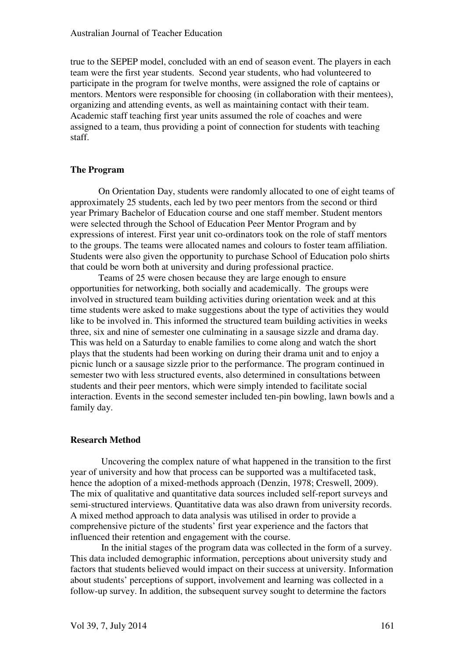true to the SEPEP model, concluded with an end of season event. The players in each team were the first year students. Second year students, who had volunteered to participate in the program for twelve months, were assigned the role of captains or mentors. Mentors were responsible for choosing (in collaboration with their mentees), organizing and attending events, as well as maintaining contact with their team. Academic staff teaching first year units assumed the role of coaches and were assigned to a team, thus providing a point of connection for students with teaching staff.

#### **The Program**

On Orientation Day, students were randomly allocated to one of eight teams of approximately 25 students, each led by two peer mentors from the second or third year Primary Bachelor of Education course and one staff member. Student mentors were selected through the School of Education Peer Mentor Program and by expressions of interest. First year unit co-ordinators took on the role of staff mentors to the groups. The teams were allocated names and colours to foster team affiliation. Students were also given the opportunity to purchase School of Education polo shirts that could be worn both at university and during professional practice.

Teams of 25 were chosen because they are large enough to ensure opportunities for networking, both socially and academically. The groups were involved in structured team building activities during orientation week and at this time students were asked to make suggestions about the type of activities they would like to be involved in. This informed the structured team building activities in weeks three, six and nine of semester one culminating in a sausage sizzle and drama day. This was held on a Saturday to enable families to come along and watch the short plays that the students had been working on during their drama unit and to enjoy a picnic lunch or a sausage sizzle prior to the performance. The program continued in semester two with less structured events, also determined in consultations between students and their peer mentors, which were simply intended to facilitate social interaction. Events in the second semester included ten-pin bowling, lawn bowls and a family day.

#### **Research Method**

 Uncovering the complex nature of what happened in the transition to the first year of university and how that process can be supported was a multifaceted task, hence the adoption of a mixed-methods approach (Denzin, 1978; Creswell, 2009). The mix of qualitative and quantitative data sources included self-report surveys and semi-structured interviews. Quantitative data was also drawn from university records. A mixed method approach to data analysis was utilised in order to provide a comprehensive picture of the students' first year experience and the factors that influenced their retention and engagement with the course.

 In the initial stages of the program data was collected in the form of a survey. This data included demographic information, perceptions about university study and factors that students believed would impact on their success at university. Information about students' perceptions of support, involvement and learning was collected in a follow-up survey. In addition, the subsequent survey sought to determine the factors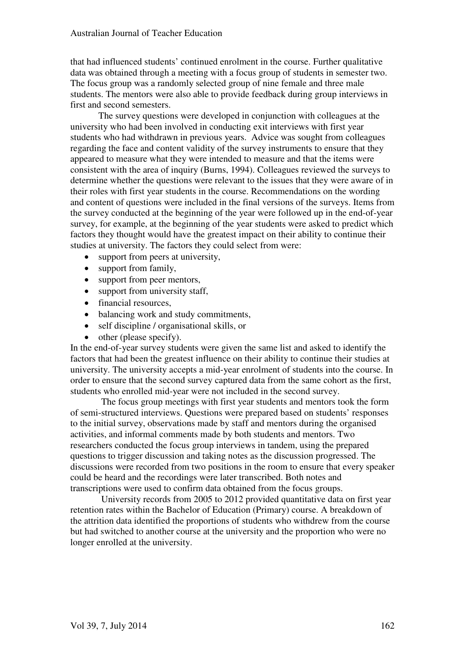that had influenced students' continued enrolment in the course. Further qualitative data was obtained through a meeting with a focus group of students in semester two. The focus group was a randomly selected group of nine female and three male students. The mentors were also able to provide feedback during group interviews in first and second semesters.

The survey questions were developed in conjunction with colleagues at the university who had been involved in conducting exit interviews with first year students who had withdrawn in previous years. Advice was sought from colleagues regarding the face and content validity of the survey instruments to ensure that they appeared to measure what they were intended to measure and that the items were consistent with the area of inquiry (Burns, 1994). Colleagues reviewed the surveys to determine whether the questions were relevant to the issues that they were aware of in their roles with first year students in the course. Recommendations on the wording and content of questions were included in the final versions of the surveys. Items from the survey conducted at the beginning of the year were followed up in the end-of-year survey, for example, at the beginning of the year students were asked to predict which factors they thought would have the greatest impact on their ability to continue their studies at university. The factors they could select from were:

- support from peers at university,
- support from family,
- support from peer mentors,
- support from university staff,
- financial resources,
- balancing work and study commitments,
- self discipline / organisational skills, or
- other (please specify).

In the end-of-year survey students were given the same list and asked to identify the factors that had been the greatest influence on their ability to continue their studies at university. The university accepts a mid-year enrolment of students into the course. In order to ensure that the second survey captured data from the same cohort as the first, students who enrolled mid-year were not included in the second survey.

 The focus group meetings with first year students and mentors took the form of semi-structured interviews. Questions were prepared based on students' responses to the initial survey, observations made by staff and mentors during the organised activities, and informal comments made by both students and mentors. Two researchers conducted the focus group interviews in tandem, using the prepared questions to trigger discussion and taking notes as the discussion progressed. The discussions were recorded from two positions in the room to ensure that every speaker could be heard and the recordings were later transcribed. Both notes and transcriptions were used to confirm data obtained from the focus groups.

 University records from 2005 to 2012 provided quantitative data on first year retention rates within the Bachelor of Education (Primary) course. A breakdown of the attrition data identified the proportions of students who withdrew from the course but had switched to another course at the university and the proportion who were no longer enrolled at the university.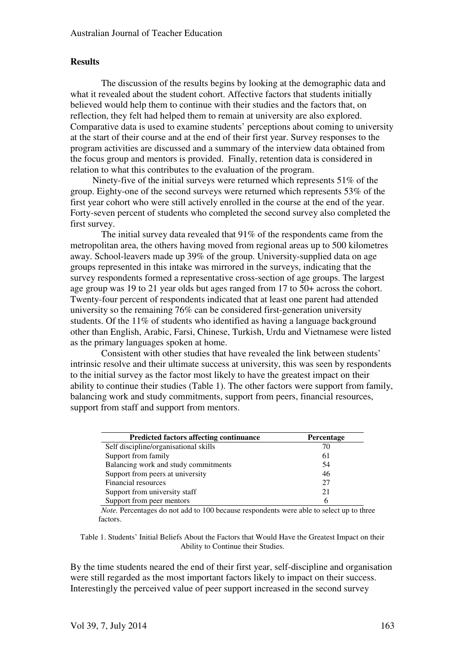#### **Results**

 The discussion of the results begins by looking at the demographic data and what it revealed about the student cohort. Affective factors that students initially believed would help them to continue with their studies and the factors that, on reflection, they felt had helped them to remain at university are also explored. Comparative data is used to examine students' perceptions about coming to university at the start of their course and at the end of their first year. Survey responses to the program activities are discussed and a summary of the interview data obtained from the focus group and mentors is provided. Finally, retention data is considered in relation to what this contributes to the evaluation of the program.

Ninety-five of the initial surveys were returned which represents 51% of the group. Eighty-one of the second surveys were returned which represents 53% of the first year cohort who were still actively enrolled in the course at the end of the year. Forty-seven percent of students who completed the second survey also completed the first survey.

 The initial survey data revealed that 91% of the respondents came from the metropolitan area, the others having moved from regional areas up to 500 kilometres away. School-leavers made up 39% of the group. University-supplied data on age groups represented in this intake was mirrored in the surveys, indicating that the survey respondents formed a representative cross-section of age groups. The largest age group was 19 to 21 year olds but ages ranged from 17 to 50+ across the cohort. Twenty-four percent of respondents indicated that at least one parent had attended university so the remaining 76% can be considered first-generation university students. Of the 11% of students who identified as having a language background other than English, Arabic, Farsi, Chinese, Turkish, Urdu and Vietnamese were listed as the primary languages spoken at home.

 Consistent with other studies that have revealed the link between students' intrinsic resolve and their ultimate success at university, this was seen by respondents to the initial survey as the factor most likely to have the greatest impact on their ability to continue their studies (Table 1). The other factors were support from family, balancing work and study commitments, support from peers, financial resources, support from staff and support from mentors.

| <b>Predicted factors affecting continuance</b> | Percentage |
|------------------------------------------------|------------|
| Self discipline/organisational skills          | 70         |
| Support from family                            | 61         |
| Balancing work and study commitments           | 54         |
| Support from peers at university               | 46         |
| Financial resources                            | 27         |
| Support from university staff                  | 21         |
| Support from peer mentors                      | 6          |

*Note.* Percentages do not add to 100 because respondents were able to select up to three factors.

Table 1. Students' Initial Beliefs About the Factors that Would Have the Greatest Impact on their Ability to Continue their Studies.

By the time students neared the end of their first year, self-discipline and organisation were still regarded as the most important factors likely to impact on their success. Interestingly the perceived value of peer support increased in the second survey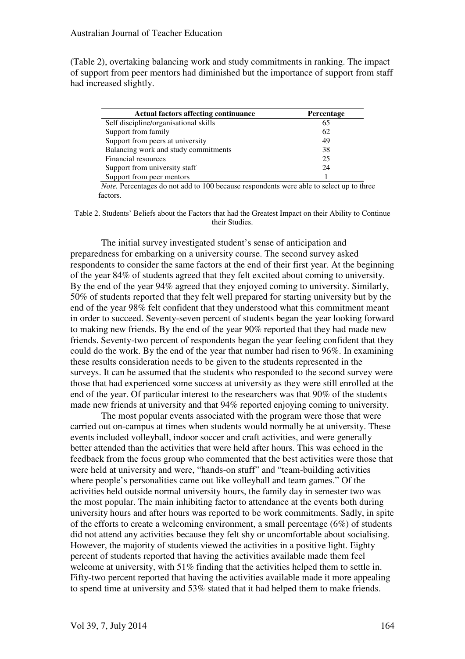(Table 2), overtaking balancing work and study commitments in ranking. The impact of support from peer mentors had diminished but the importance of support from staff had increased slightly.

| <b>Actual factors affecting continuance</b> | <b>Percentage</b> |
|---------------------------------------------|-------------------|
| Self discipline/organisational skills       | 65                |
| Support from family                         | 62                |
| Support from peers at university            | 49                |
| Balancing work and study commitments        | 38                |
| Financial resources                         | 25                |
| Support from university staff               | 24                |
| Support from peer mentors                   |                   |

*Note.* Percentages do not add to 100 because respondents were able to select up to three factors.

Table 2. Students' Beliefs about the Factors that had the Greatest Impact on their Ability to Continue their Studies.

 The initial survey investigated student's sense of anticipation and preparedness for embarking on a university course. The second survey asked respondents to consider the same factors at the end of their first year. At the beginning of the year 84% of students agreed that they felt excited about coming to university. By the end of the year 94% agreed that they enjoyed coming to university. Similarly, 50% of students reported that they felt well prepared for starting university but by the end of the year 98% felt confident that they understood what this commitment meant in order to succeed. Seventy-seven percent of students began the year looking forward to making new friends. By the end of the year 90% reported that they had made new friends. Seventy-two percent of respondents began the year feeling confident that they could do the work. By the end of the year that number had risen to 96%. In examining these results consideration needs to be given to the students represented in the surveys. It can be assumed that the students who responded to the second survey were those that had experienced some success at university as they were still enrolled at the end of the year. Of particular interest to the researchers was that 90% of the students made new friends at university and that 94% reported enjoying coming to university.

 The most popular events associated with the program were those that were carried out on-campus at times when students would normally be at university. These events included volleyball, indoor soccer and craft activities, and were generally better attended than the activities that were held after hours. This was echoed in the feedback from the focus group who commented that the best activities were those that were held at university and were, "hands-on stuff" and "team-building activities where people's personalities came out like volleyball and team games." Of the activities held outside normal university hours, the family day in semester two was the most popular. The main inhibiting factor to attendance at the events both during university hours and after hours was reported to be work commitments. Sadly, in spite of the efforts to create a welcoming environment, a small percentage (6%) of students did not attend any activities because they felt shy or uncomfortable about socialising. However, the majority of students viewed the activities in a positive light. Eighty percent of students reported that having the activities available made them feel welcome at university, with 51% finding that the activities helped them to settle in. Fifty-two percent reported that having the activities available made it more appealing to spend time at university and 53% stated that it had helped them to make friends.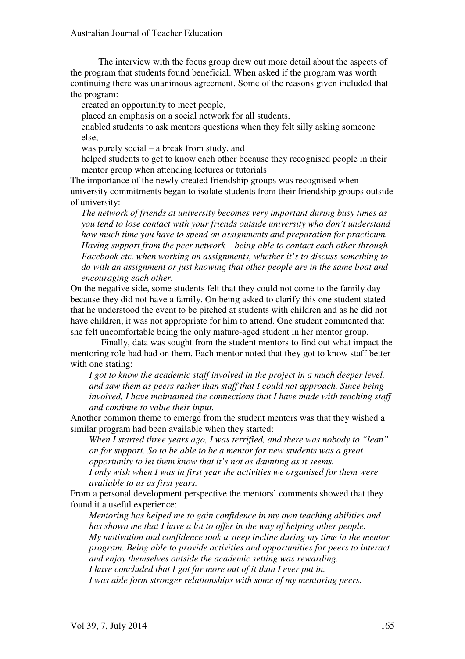The interview with the focus group drew out more detail about the aspects of the program that students found beneficial. When asked if the program was worth continuing there was unanimous agreement. Some of the reasons given included that the program:

created an opportunity to meet people,

placed an emphasis on a social network for all students,

enabled students to ask mentors questions when they felt silly asking someone else,

was purely social – a break from study, and

helped students to get to know each other because they recognised people in their mentor group when attending lectures or tutorials

The importance of the newly created friendship groups was recognised when university commitments began to isolate students from their friendship groups outside of university:

*The network of friends at university becomes very important during busy times as you tend to lose contact with your friends outside university who don't understand how much time you have to spend on assignments and preparation for practicum. Having support from the peer network – being able to contact each other through Facebook etc. when working on assignments, whether it's to discuss something to do with an assignment or just knowing that other people are in the same boat and encouraging each other.* 

On the negative side, some students felt that they could not come to the family day because they did not have a family. On being asked to clarify this one student stated that he understood the event to be pitched at students with children and as he did not have children, it was not appropriate for him to attend. One student commented that she felt uncomfortable being the only mature-aged student in her mentor group.

 Finally, data was sought from the student mentors to find out what impact the mentoring role had had on them. Each mentor noted that they got to know staff better with one stating:

*I got to know the academic staff involved in the project in a much deeper level, and saw them as peers rather than staff that I could not approach. Since being involved, I have maintained the connections that I have made with teaching staff and continue to value their input.* 

Another common theme to emerge from the student mentors was that they wished a similar program had been available when they started:

*When I started three years ago, I was terrified, and there was nobody to "lean" on for support. So to be able to be a mentor for new students was a great opportunity to let them know that it's not as daunting as it seems.* 

*I only wish when I was in first year the activities we organised for them were available to us as first years.* 

From a personal development perspective the mentors' comments showed that they found it a useful experience:

*Mentoring has helped me to gain confidence in my own teaching abilities and has shown me that I have a lot to offer in the way of helping other people. My motivation and confidence took a steep incline during my time in the mentor program. Being able to provide activities and opportunities for peers to interact and enjoy themselves outside the academic setting was rewarding. I have concluded that I got far more out of it than I ever put in.* 

*I was able form stronger relationships with some of my mentoring peers.*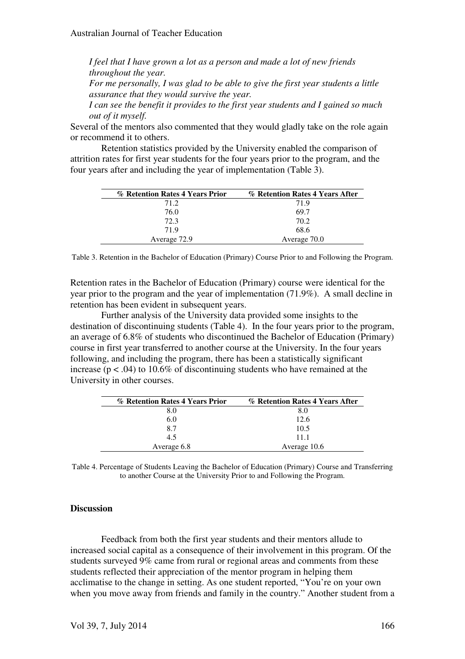*I feel that I have grown a lot as a person and made a lot of new friends throughout the year. For me personally, I was glad to be able to give the first year students a little assurance that they would survive the year. I can see the benefit it provides to the first year students and I gained so much* 

*out of it myself.*  Several of the mentors also commented that they would gladly take on the role again or recommend it to others.

 Retention statistics provided by the University enabled the comparison of attrition rates for first year students for the four years prior to the program, and the four years after and including the year of implementation (Table 3).

| % Retention Rates 4 Years Prior | % Retention Rates 4 Years After |
|---------------------------------|---------------------------------|
| 71.2                            | 71.9                            |
| 76.0                            | 69.7                            |
| 72.3                            | 70.2                            |
| 719                             | 68.6                            |
| Average 72.9                    | Average 70.0                    |

Table 3. Retention in the Bachelor of Education (Primary) Course Prior to and Following the Program.

Retention rates in the Bachelor of Education (Primary) course were identical for the year prior to the program and the year of implementation (71.9%). A small decline in retention has been evident in subsequent years.

 Further analysis of the University data provided some insights to the destination of discontinuing students (Table 4). In the four years prior to the program, an average of 6.8% of students who discontinued the Bachelor of Education (Primary) course in first year transferred to another course at the University. In the four years following, and including the program, there has been a statistically significant increase ( $p < .04$ ) to 10.6% of discontinuing students who have remained at the University in other courses.

| % Retention Rates 4 Years Prior | % Retention Rates 4 Years After |
|---------------------------------|---------------------------------|
| 8.0                             | 8.0                             |
| 6.0                             | 12.6                            |
| 87                              | 10.5                            |
| 4.5                             | 11 1                            |
| Average 6.8                     | Average 10.6                    |

Table 4. Percentage of Students Leaving the Bachelor of Education (Primary) Course and Transferring to another Course at the University Prior to and Following the Program.

#### **Discussion**

 Feedback from both the first year students and their mentors allude to increased social capital as a consequence of their involvement in this program. Of the students surveyed 9% came from rural or regional areas and comments from these students reflected their appreciation of the mentor program in helping them acclimatise to the change in setting. As one student reported, "You're on your own when you move away from friends and family in the country." Another student from a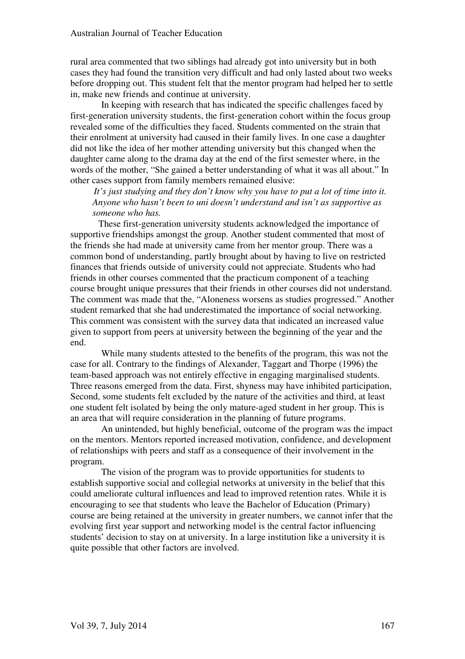rural area commented that two siblings had already got into university but in both cases they had found the transition very difficult and had only lasted about two weeks before dropping out. This student felt that the mentor program had helped her to settle in, make new friends and continue at university.

 In keeping with research that has indicated the specific challenges faced by first-generation university students, the first-generation cohort within the focus group revealed some of the difficulties they faced. Students commented on the strain that their enrolment at university had caused in their family lives. In one case a daughter did not like the idea of her mother attending university but this changed when the daughter came along to the drama day at the end of the first semester where, in the words of the mother, "She gained a better understanding of what it was all about." In other cases support from family members remained elusive:

*It's just studying and they don't know why you have to put a lot of time into it. Anyone who hasn't been to uni doesn't understand and isn't as supportive as someone who has.* 

 These first-generation university students acknowledged the importance of supportive friendships amongst the group. Another student commented that most of the friends she had made at university came from her mentor group. There was a common bond of understanding, partly brought about by having to live on restricted finances that friends outside of university could not appreciate. Students who had friends in other courses commented that the practicum component of a teaching course brought unique pressures that their friends in other courses did not understand. The comment was made that the, "Aloneness worsens as studies progressed." Another student remarked that she had underestimated the importance of social networking. This comment was consistent with the survey data that indicated an increased value given to support from peers at university between the beginning of the year and the end.

 While many students attested to the benefits of the program, this was not the case for all. Contrary to the findings of Alexander, Taggart and Thorpe (1996) the team-based approach was not entirely effective in engaging marginalised students. Three reasons emerged from the data. First, shyness may have inhibited participation, Second, some students felt excluded by the nature of the activities and third, at least one student felt isolated by being the only mature-aged student in her group. This is an area that will require consideration in the planning of future programs.

 An unintended, but highly beneficial, outcome of the program was the impact on the mentors. Mentors reported increased motivation, confidence, and development of relationships with peers and staff as a consequence of their involvement in the program.

The vision of the program was to provide opportunities for students to establish supportive social and collegial networks at university in the belief that this could ameliorate cultural influences and lead to improved retention rates. While it is encouraging to see that students who leave the Bachelor of Education (Primary) course are being retained at the university in greater numbers, we cannot infer that the evolving first year support and networking model is the central factor influencing students' decision to stay on at university. In a large institution like a university it is quite possible that other factors are involved.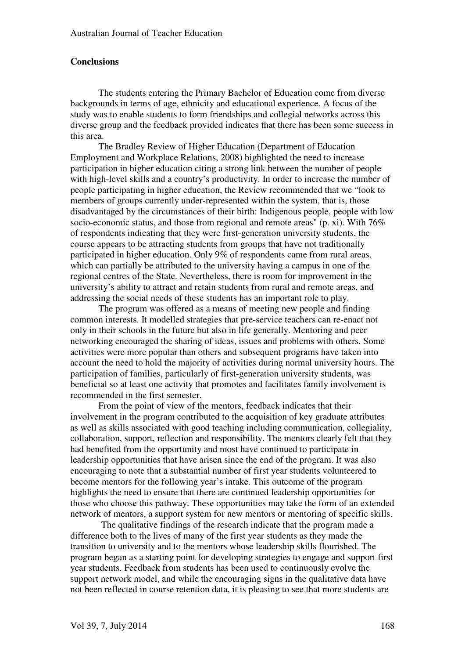#### **Conclusions**

 The students entering the Primary Bachelor of Education come from diverse backgrounds in terms of age, ethnicity and educational experience. A focus of the study was to enable students to form friendships and collegial networks across this diverse group and the feedback provided indicates that there has been some success in this area.

 The Bradley Review of Higher Education (Department of Education Employment and Workplace Relations, 2008) highlighted the need to increase participation in higher education citing a strong link between the number of people with high-level skills and a country's productivity. In order to increase the number of people participating in higher education, the Review recommended that we "look to members of groups currently under-represented within the system, that is, those disadvantaged by the circumstances of their birth: Indigenous people, people with low socio-economic status, and those from regional and remote areas" (p. xi). With 76% of respondents indicating that they were first-generation university students, the course appears to be attracting students from groups that have not traditionally participated in higher education. Only 9% of respondents came from rural areas, which can partially be attributed to the university having a campus in one of the regional centres of the State. Nevertheless, there is room for improvement in the university's ability to attract and retain students from rural and remote areas, and addressing the social needs of these students has an important role to play.

 The program was offered as a means of meeting new people and finding common interests. It modelled strategies that pre-service teachers can re-enact not only in their schools in the future but also in life generally. Mentoring and peer networking encouraged the sharing of ideas, issues and problems with others. Some activities were more popular than others and subsequent programs have taken into account the need to hold the majority of activities during normal university hours. The participation of families, particularly of first-generation university students, was beneficial so at least one activity that promotes and facilitates family involvement is recommended in the first semester.

 From the point of view of the mentors, feedback indicates that their involvement in the program contributed to the acquisition of key graduate attributes as well as skills associated with good teaching including communication, collegiality, collaboration, support, reflection and responsibility. The mentors clearly felt that they had benefited from the opportunity and most have continued to participate in leadership opportunities that have arisen since the end of the program. It was also encouraging to note that a substantial number of first year students volunteered to become mentors for the following year's intake. This outcome of the program highlights the need to ensure that there are continued leadership opportunities for those who choose this pathway. These opportunities may take the form of an extended network of mentors, a support system for new mentors or mentoring of specific skills.

 The qualitative findings of the research indicate that the program made a difference both to the lives of many of the first year students as they made the transition to university and to the mentors whose leadership skills flourished. The program began as a starting point for developing strategies to engage and support first year students. Feedback from students has been used to continuously evolve the support network model, and while the encouraging signs in the qualitative data have not been reflected in course retention data, it is pleasing to see that more students are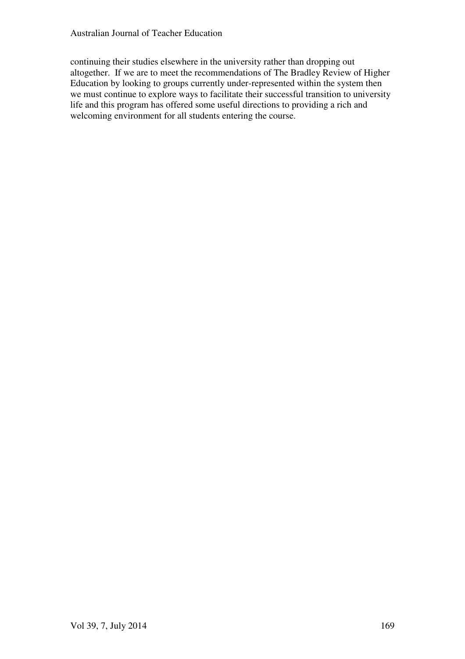continuing their studies elsewhere in the university rather than dropping out altogether. If we are to meet the recommendations of The Bradley Review of Higher Education by looking to groups currently under-represented within the system then we must continue to explore ways to facilitate their successful transition to university life and this program has offered some useful directions to providing a rich and welcoming environment for all students entering the course.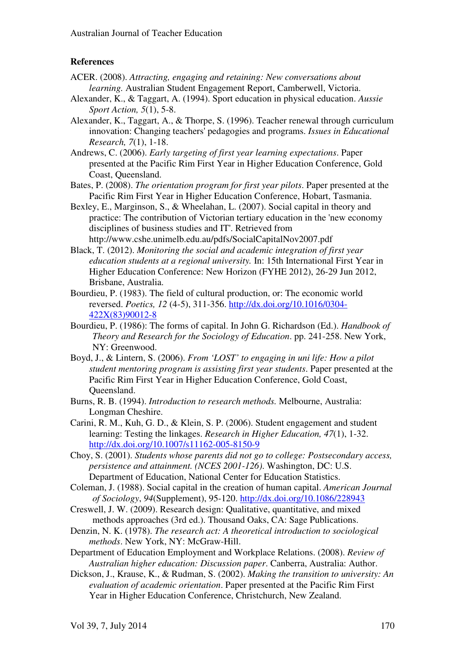#### **References**

- ACER. (2008). *Attracting, engaging and retaining: New conversations about learning.* Australian Student Engagement Report, Camberwell, Victoria.
- Alexander, K., & Taggart, A. (1994). Sport education in physical education. *Aussie Sport Action, 5*(1), 5-8.
- Alexander, K., Taggart, A., & Thorpe, S. (1996). Teacher renewal through curriculum innovation: Changing teachers' pedagogies and programs. *Issues in Educational Research, 7*(1), 1-18.
- Andrews, C. (2006). *Early targeting of first year learning expectations*. Paper presented at the Pacific Rim First Year in Higher Education Conference, Gold Coast, Queensland.
- Bates, P. (2008). *The orientation program for first year pilots*. Paper presented at the Pacific Rim First Year in Higher Education Conference, Hobart, Tasmania.
- Bexley, E., Marginson, S., & Wheelahan, L. (2007). Social capital in theory and practice: The contribution of Victorian tertiary education in the 'new economy disciplines of business studies and IT'. Retrieved from http://www.cshe.unimelb.edu.au/pdfs/SocialCapitalNov2007.pdf
- Black, T. (2012). *Monitoring the social and academic integration of first year education students at a regional university.* In: 15th International First Year in Higher Education Conference: New Horizon (FYHE 2012), 26-29 Jun 2012, Brisbane, Australia.
- Bourdieu, P. (1983). The field of cultural production, or: The economic world reversed. *Poetics, 12* (4-5), 311-356. http://dx.doi.org/10.1016/0304- 422X(83)90012-8
- Bourdieu, P. (1986): The forms of capital. In John G. Richardson (Ed.). *Handbook of Theory and Research for the Sociology of Education*. pp. 241-258. New York, NY: Greenwood.
- Boyd, J., & Lintern, S. (2006). *From 'LOST' to engaging in uni life: How a pilot student mentoring program is assisting first year students*. Paper presented at the Pacific Rim First Year in Higher Education Conference, Gold Coast, Queensland.
- Burns, R. B. (1994). *Introduction to research methods.* Melbourne, Australia: Longman Cheshire.
- Carini, R. M., Kuh, G. D., & Klein, S. P. (2006). Student engagement and student learning: Testing the linkages. *Research in Higher Education, 47*(1), 1-32. http://dx.doi.org/10.1007/s11162-005-8150-9
- Choy, S. (2001). *Students whose parents did not go to college: Postsecondary access, persistence and attainment. (NCES 2001-126)*. Washington, DC: U.S. Department of Education, National Center for Education Statistics.
- Coleman, J. (1988). Social capital in the creation of human capital. *American Journal of Sociology*, *94*(Supplement), 95-120. http://dx.doi.org/10.1086/228943
- Creswell, J. W. (2009). Research design: Qualitative, quantitative, and mixed methods approaches (3rd ed.). Thousand Oaks, CA: Sage Publications.
- Denzin, N. K. (1978). *The research act: A theoretical introduction to sociological methods*. New York, NY: McGraw-Hill.
- Department of Education Employment and Workplace Relations. (2008). *Review of Australian higher education: Discussion paper*. Canberra, Australia: Author.
- Dickson, J., Krause, K., & Rudman, S. (2002). *Making the transition to university: An evaluation of academic orientation*. Paper presented at the Pacific Rim First Year in Higher Education Conference, Christchurch, New Zealand.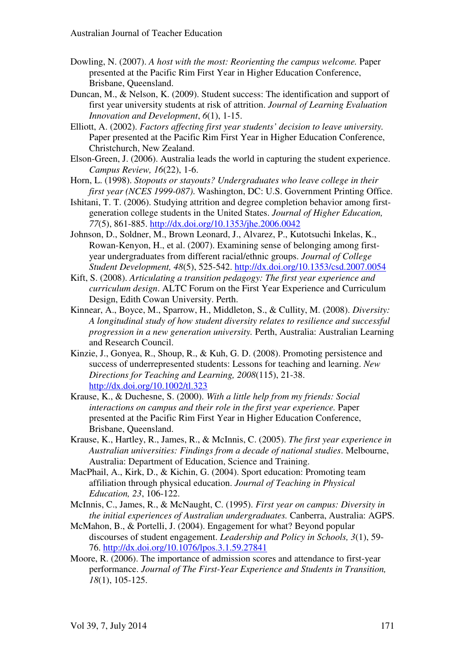- Dowling, N. (2007). *A host with the most: Reorienting the campus welcome.* Paper presented at the Pacific Rim First Year in Higher Education Conference, Brisbane, Queensland.
- Duncan, M., & Nelson, K. (2009). Student success: The identification and support of first year university students at risk of attrition. *Journal of Learning Evaluation Innovation and Development*, *6*(1), 1-15.
- Elliott, A. (2002). *Factors affecting first year students' decision to leave university.* Paper presented at the Pacific Rim First Year in Higher Education Conference, Christchurch, New Zealand.
- Elson-Green, J. (2006). Australia leads the world in capturing the student experience. *Campus Review, 16*(22), 1-6.
- Horn, L. (1998). *Stopouts or stayouts? Undergraduates who leave college in their first year (NCES 1999-087)*. Washington, DC: U.S. Government Printing Office.
- Ishitani, T. T. (2006). Studying attrition and degree completion behavior among firstgeneration college students in the United States. *Journal of Higher Education, 77*(5), 861-885. http://dx.doi.org/10.1353/jhe.2006.0042
- Johnson, D., Soldner, M., Brown Leonard, J., Alvarez, P., Kutotsuchi Inkelas, K., Rowan-Kenyon, H., et al. (2007). Examining sense of belonging among firstyear undergraduates from different racial/ethnic groups. *Journal of College Student Development, 48*(5), 525-542. http://dx.doi.org/10.1353/csd.2007.0054
- Kift, S. (2008). *Articulating a transition pedagogy: The first year experience and curriculum design*. ALTC Forum on the First Year Experience and Curriculum Design, Edith Cowan University. Perth.
- Kinnear, A., Boyce, M., Sparrow, H., Middleton, S., & Cullity, M. (2008). *Diversity: A longitudinal study of how student diversity relates to resilience and successful progression in a new generation university.* Perth, Australia: Australian Learning and Research Council.
- Kinzie, J., Gonyea, R., Shoup, R., & Kuh, G. D. (2008). Promoting persistence and success of underrepresented students: Lessons for teaching and learning. *New Directions for Teaching and Learning, 2008*(115), 21-38. http://dx.doi.org/10.1002/tl.323
- Krause, K., & Duchesne, S. (2000). *With a little help from my friends: Social interactions on campus and their role in the first year experience.* Paper presented at the Pacific Rim First Year in Higher Education Conference, Brisbane, Queensland.
- Krause, K., Hartley, R., James, R., & McInnis, C. (2005). *The first year experience in Australian universities: Findings from a decade of national studies*. Melbourne, Australia: Department of Education, Science and Training.
- MacPhail, A., Kirk, D., & Kichin, G. (2004). Sport education: Promoting team affiliation through physical education. *Journal of Teaching in Physical Education, 23*, 106-122.
- McInnis, C., James, R., & McNaught, C. (1995). *First year on campus: Diversity in the initial experiences of Australian undergraduates.* Canberra, Australia: AGPS.
- McMahon, B., & Portelli, J. (2004). Engagement for what? Beyond popular discourses of student engagement. *Leadership and Policy in Schools, 3*(1), 59- 76. http://dx.doi.org/10.1076/lpos.3.1.59.27841
- Moore, R. (2006). The importance of admission scores and attendance to first-year performance. *Journal of The First-Year Experience and Students in Transition, 18*(1), 105-125.